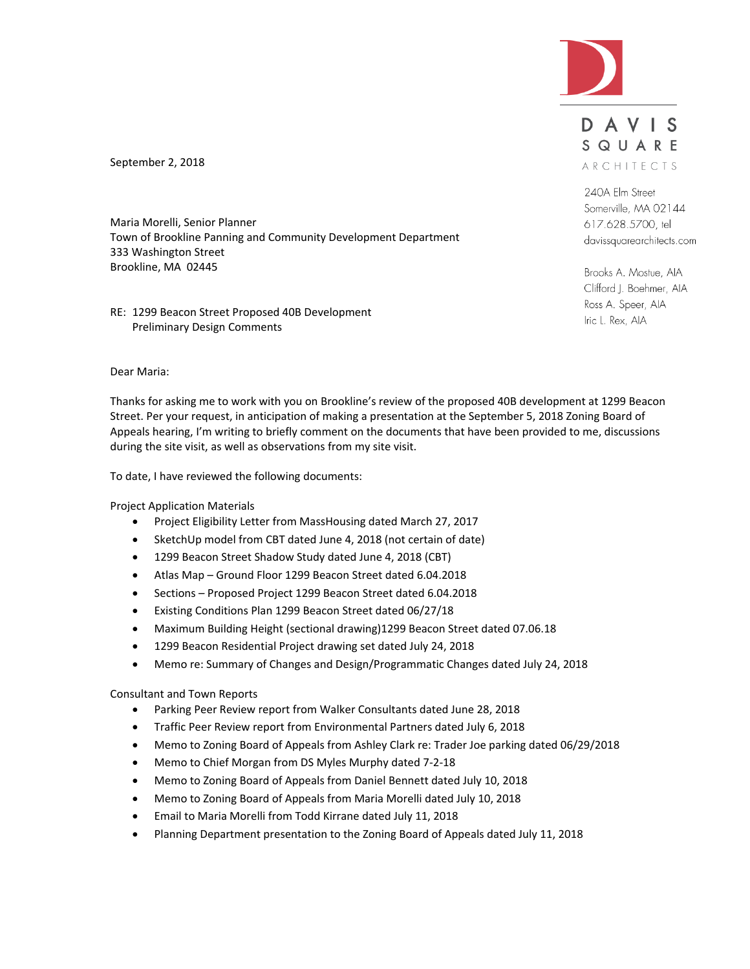

DAVIS SQUARE ARCHITECTS

240A Elm Street Somerville, MA 02144 617.628.5700, tel davissquarearchitects.com

Brooks A. Mostue, AIA Clifford J. Boehmer, AIA Ross A. Speer, AIA Iric L. Rex, AIA

September 2, 2018

Maria Morelli, Senior Planner Town of Brookline Panning and Community Development Department 333 Washington Street Brookline, MA 02445

RE: 1299 Beacon Street Proposed 40B Development Preliminary Design Comments

#### Dear Maria:

Thanks for asking me to work with you on Brookline's review of the proposed 40B development at 1299 Beacon Street. Per your request, in anticipation of making a presentation at the September 5, 2018 Zoning Board of Appeals hearing, I'm writing to briefly comment on the documents that have been provided to me, discussions during the site visit, as well as observations from my site visit.

To date, I have reviewed the following documents:

Project Application Materials

- Project Eligibility Letter from MassHousing dated March 27, 2017
- SketchUp model from CBT dated June 4, 2018 (not certain of date)
- 1299 Beacon Street Shadow Study dated June 4, 2018 (CBT)
- Atlas Map Ground Floor 1299 Beacon Street dated 6.04.2018
- Sections Proposed Project 1299 Beacon Street dated 6.04.2018
- Existing Conditions Plan 1299 Beacon Street dated 06/27/18
- Maximum Building Height (sectional drawing)1299 Beacon Street dated 07.06.18
- 1299 Beacon Residential Project drawing set dated July 24, 2018
- Memo re: Summary of Changes and Design/Programmatic Changes dated July 24, 2018

Consultant and Town Reports

- Parking Peer Review report from Walker Consultants dated June 28, 2018
- Traffic Peer Review report from Environmental Partners dated July 6, 2018
- Memo to Zoning Board of Appeals from Ashley Clark re: Trader Joe parking dated 06/29/2018
- Memo to Chief Morgan from DS Myles Murphy dated 7-2-18
- Memo to Zoning Board of Appeals from Daniel Bennett dated July 10, 2018
- Memo to Zoning Board of Appeals from Maria Morelli dated July 10, 2018
- Email to Maria Morelli from Todd Kirrane dated July 11, 2018
- Planning Department presentation to the Zoning Board of Appeals dated July 11, 2018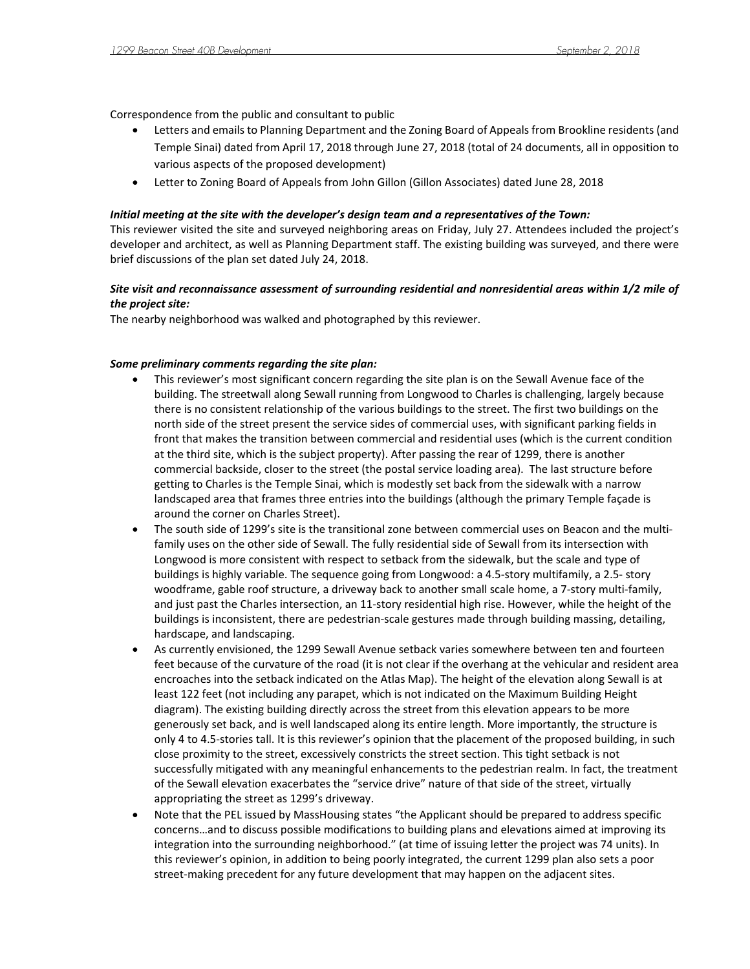Correspondence from the public and consultant to public

- Letters and emails to Planning Department and the Zoning Board of Appeals from Brookline residents (and Temple Sinai) dated from April 17, 2018 through June 27, 2018 (total of 24 documents, all in opposition to various aspects of the proposed development)
- Letter to Zoning Board of Appeals from John Gillon (Gillon Associates) dated June 28, 2018

### *Initial meeting at the site with the developer's design team and a representatives of the Town:*

This reviewer visited the site and surveyed neighboring areas on Friday, July 27. Attendees included the project's developer and architect, as well as Planning Department staff. The existing building was surveyed, and there were brief discussions of the plan set dated July 24, 2018.

# *Site visit and reconnaissance assessment of surrounding residential and nonresidential areas within 1/2 mile of the project site:*

The nearby neighborhood was walked and photographed by this reviewer.

### *Some preliminary comments regarding the site plan:*

- This reviewer's most significant concern regarding the site plan is on the Sewall Avenue face of the building. The streetwall along Sewall running from Longwood to Charles is challenging, largely because there is no consistent relationship of the various buildings to the street. The first two buildings on the north side of the street present the service sides of commercial uses, with significant parking fields in front that makes the transition between commercial and residential uses (which is the current condition at the third site, which is the subject property). After passing the rear of 1299, there is another commercial backside, closer to the street (the postal service loading area). The last structure before getting to Charles is the Temple Sinai, which is modestly set back from the sidewalk with a narrow landscaped area that frames three entries into the buildings (although the primary Temple façade is around the corner on Charles Street).
- The south side of 1299's site is the transitional zone between commercial uses on Beacon and the multifamily uses on the other side of Sewall. The fully residential side of Sewall from its intersection with Longwood is more consistent with respect to setback from the sidewalk, but the scale and type of buildings is highly variable. The sequence going from Longwood: a 4.5-story multifamily, a 2.5- story woodframe, gable roof structure, a driveway back to another small scale home, a 7-story multi-family, and just past the Charles intersection, an 11-story residential high rise. However, while the height of the buildings is inconsistent, there are pedestrian-scale gestures made through building massing, detailing, hardscape, and landscaping.
- As currently envisioned, the 1299 Sewall Avenue setback varies somewhere between ten and fourteen feet because of the curvature of the road (it is not clear if the overhang at the vehicular and resident area encroaches into the setback indicated on the Atlas Map). The height of the elevation along Sewall is at least 122 feet (not including any parapet, which is not indicated on the Maximum Building Height diagram). The existing building directly across the street from this elevation appears to be more generously set back, and is well landscaped along its entire length. More importantly, the structure is only 4 to 4.5-stories tall. It is this reviewer's opinion that the placement of the proposed building, in such close proximity to the street, excessively constricts the street section. This tight setback is not successfully mitigated with any meaningful enhancements to the pedestrian realm. In fact, the treatment of the Sewall elevation exacerbates the "service drive" nature of that side of the street, virtually appropriating the street as 1299's driveway.
- Note that the PEL issued by MassHousing states "the Applicant should be prepared to address specific concerns…and to discuss possible modifications to building plans and elevations aimed at improving its integration into the surrounding neighborhood." (at time of issuing letter the project was 74 units). In this reviewer's opinion, in addition to being poorly integrated, the current 1299 plan also sets a poor street-making precedent for any future development that may happen on the adjacent sites.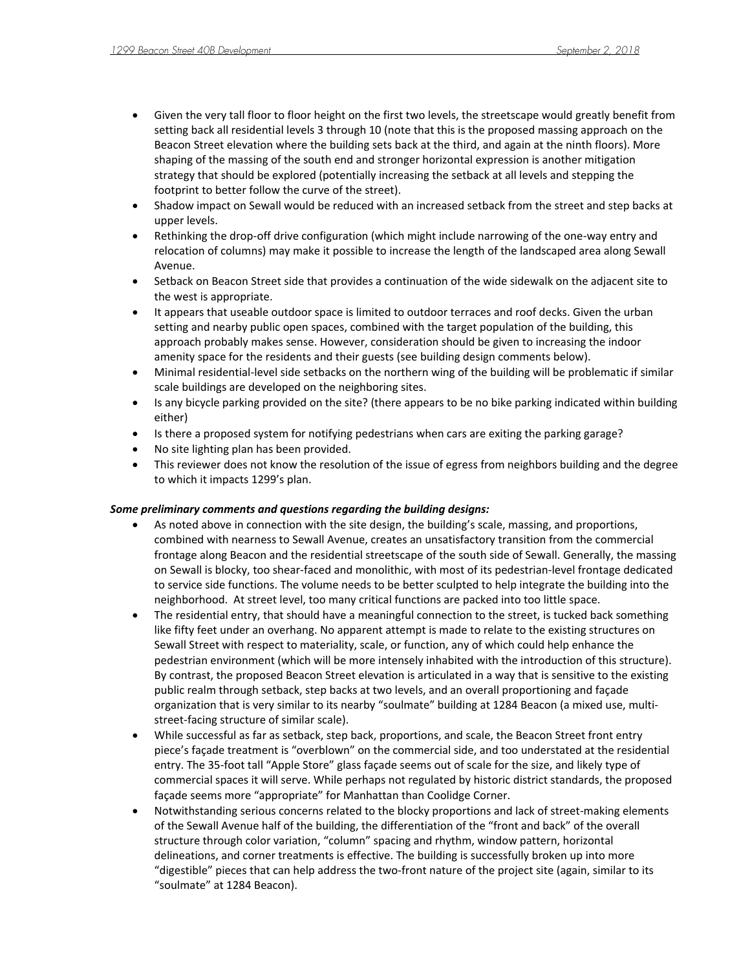- Given the very tall floor to floor height on the first two levels, the streetscape would greatly benefit from setting back all residential levels 3 through 10 (note that this is the proposed massing approach on the Beacon Street elevation where the building sets back at the third, and again at the ninth floors). More shaping of the massing of the south end and stronger horizontal expression is another mitigation strategy that should be explored (potentially increasing the setback at all levels and stepping the footprint to better follow the curve of the street).
- Shadow impact on Sewall would be reduced with an increased setback from the street and step backs at upper levels.
- Rethinking the drop-off drive configuration (which might include narrowing of the one-way entry and relocation of columns) may make it possible to increase the length of the landscaped area along Sewall Avenue.
- Setback on Beacon Street side that provides a continuation of the wide sidewalk on the adjacent site to the west is appropriate.
- It appears that useable outdoor space is limited to outdoor terraces and roof decks. Given the urban setting and nearby public open spaces, combined with the target population of the building, this approach probably makes sense. However, consideration should be given to increasing the indoor amenity space for the residents and their guests (see building design comments below).
- Minimal residential-level side setbacks on the northern wing of the building will be problematic if similar scale buildings are developed on the neighboring sites.
- Is any bicycle parking provided on the site? (there appears to be no bike parking indicated within building either)
- Is there a proposed system for notifying pedestrians when cars are exiting the parking garage?
- No site lighting plan has been provided.
- This reviewer does not know the resolution of the issue of egress from neighbors building and the degree to which it impacts 1299's plan.

## *Some preliminary comments and questions regarding the building designs:*

- As noted above in connection with the site design, the building's scale, massing, and proportions, combined with nearness to Sewall Avenue, creates an unsatisfactory transition from the commercial frontage along Beacon and the residential streetscape of the south side of Sewall. Generally, the massing on Sewall is blocky, too shear-faced and monolithic, with most of its pedestrian-level frontage dedicated to service side functions. The volume needs to be better sculpted to help integrate the building into the neighborhood. At street level, too many critical functions are packed into too little space.
- The residential entry, that should have a meaningful connection to the street, is tucked back something like fifty feet under an overhang. No apparent attempt is made to relate to the existing structures on Sewall Street with respect to materiality, scale, or function, any of which could help enhance the pedestrian environment (which will be more intensely inhabited with the introduction of this structure). By contrast, the proposed Beacon Street elevation is articulated in a way that is sensitive to the existing public realm through setback, step backs at two levels, and an overall proportioning and façade organization that is very similar to its nearby "soulmate" building at 1284 Beacon (a mixed use, multistreet-facing structure of similar scale).
- While successful as far as setback, step back, proportions, and scale, the Beacon Street front entry piece's façade treatment is "overblown" on the commercial side, and too understated at the residential entry. The 35-foot tall "Apple Store" glass façade seems out of scale for the size, and likely type of commercial spaces it will serve. While perhaps not regulated by historic district standards, the proposed façade seems more "appropriate" for Manhattan than Coolidge Corner.
- Notwithstanding serious concerns related to the blocky proportions and lack of street-making elements of the Sewall Avenue half of the building, the differentiation of the "front and back" of the overall structure through color variation, "column" spacing and rhythm, window pattern, horizontal delineations, and corner treatments is effective. The building is successfully broken up into more "digestible" pieces that can help address the two-front nature of the project site (again, similar to its "soulmate" at 1284 Beacon).